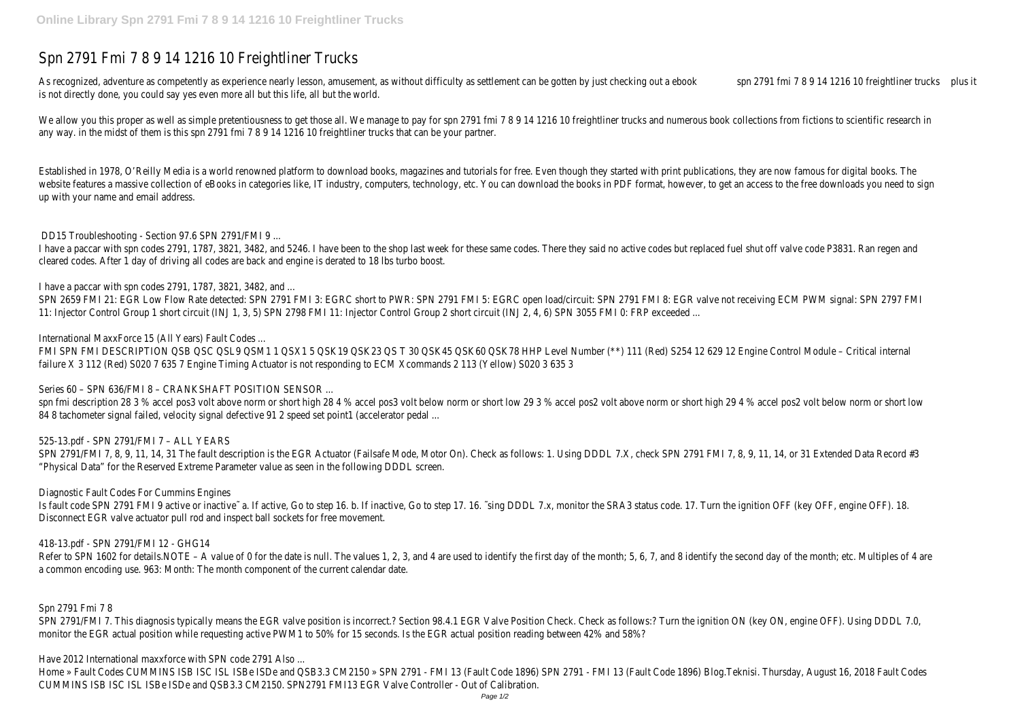## Spn 2791 Fmi 7 8 9 14 1216 10 Freightliner Trucks

As recognized, adventure as competently as experience nearly lesson, amusement, as without difficulty as settlement can be gotten by justsphe 2 2 2 2 2 2 2 2 2 2 2 10 freightline plusudks is not directly done, you could say yes even more all but this life, all but the world.

We allow you this proper as well as simple pretentiousness to get those all. We manage to pay for spn 2791 fmi 7 8 9 14 1216 10 freightliner trucks and numerous book collections from fictions any way. in the midst of them is this spn 2791 fmi 7 8 9 14 1216 10 freightliner trucks that can be your partner.

Established in 1978, O'Reilly Media is a world renowned platform to download books, magazines and tutorials for free. Even though they started with print publications, they are now famous for d website features a massive collection of eBooks in categories like, IT industry, computers, technology, etc. You can download the books in PDF format, however, to get an access to the free down up with your name and email address.

I have a paccar with spn codes 2791, 1787, 3821, 3482, and 5246. I have been to the shop last week for these same codes. There they said no active codes but replaced fuel shut off valve code cleared codes. After 1 day of driving all codes are back and engine is derated to 18 lbs turbo boost.

SPN 2659 FMI 21: EGR Low Flow Rate detected: SPN 2791 FMI 3: EGRC short to PWR: SPN 2791 FMI 5: EGRC open load/circuit: SPN 2791 FMI 8: EGR valve not receiving ECM PWM signal: SPN 27 11: Injector Control Group 1 short circuit (INJ 1, 3, 5) SPN 2798 FMI 11: Injector Control Group 2 short circuit (INJ 2, 4, 6) SPN 3055 FMI 0: FRP exceeded ...

FMI SPN FMI DESCRIPTION QSB QSC QSL9 QSM1 1 QSX1 5 QSK19 QSK23 QS T 30 QSK45 QSK60 QSK78 HHP Level Number (\*\*) 111 (Red) S254 12 629 12 Engine Control Module - Critical interna failure X 3 112 (Red) S020 7 635 7 Engine Timing Actuator is not responding to ECM Xcommands 2 113 (Yellow) S020 3 635 3

DD15 Troubleshooting - Section 97.6 SPN 2791/FMI 9 ...

SPN 2791/FMI 7, 8, 9, 11, 14, 31 The fault description is the EGR Actuator (Failsafe Mode, Motor On). Check as follows: 1. Using DDDL 7.X, check SPN 2791 FMI 7, 8, 9, 11, 14, or 31 Extended Dat "Physical Data" for the Reserved Extreme Parameter value as seen in the following DDDL screen.

I have a paccar with spn codes 2791, 1787, 3821, 3482, and ...

Is fault code SPN 2791 FMI 9 active or inactive~ a. If active, Go to step 16. b. If inactive, Go to step 17. 16. ~sing DDDL 7.x, monitor the SRA3 status code. 17. Turn the ignition OFF (key OFF, engine OFF). Disconnect EGR valve actuator pull rod and inspect ball sockets for free movement.

Refer to SPN 1602 for details.NOTE – A value of 0 for the date is null. The values 1, 2, 3, and 4 are used to identify the first day of the month; 5, 6, 7, and 8 identify the second day of the month a common encoding use. 963: Month: The month component of the current calendar date.

International MaxxForce 15 (All Years) Fault Codes ...

SPN 2791/FMI 7. This diagnosis typically means the EGR valve position is incorrect.? Section 98.4.1 EGR Valve Position Check. Check as follows:? Turn the ignition ON (key ON, engine OFF). Using D monitor the EGR actual position while requesting active PWM1 to 50% for 15 seconds. Is the EGR actual position reading between 42% and 58%?

Home » Fault Codes CUMMINS ISB ISC ISL ISBe ISDe and QSB3.3 CM2150 » SPN 2791 - FMI 13 (Fault 2791 - FMI 13 (Fault Code 1896) Blog.Teknisi. Thursday, August 16, 2018 Fault Codes 1896) Blog.Teknisi. Thursday, August 16, 201 CUMMINS ISB ISC ISL ISBe ISDe and QSB3.3 CM2150. SPN2791 FMI13 EGR Valve Controller - Out of Calibration.

Series 60 – SPN 636/FMI 8 – CRANKSHAFT POSITION SENSOR ...

spn fmi description 28 3 % accel pos3 volt above norm or short high 28 4 % accel pos3 volt below norm or short above norm or short high 29 4 % accel pos2 volt be 84 8 tachometer signal failed, velocity signal defective 91 2 speed set point1 (accelerator pedal ...

525-13.pdf - SPN 2791/FMI 7 – ALL YEARS

Diagnostic Fault Codes For Cummins Engines

418-13.pdf - SPN 2791/FMI 12 - GHG14

Spn 2791 Fmi 7 8

Have 2012 International maxxforce with SPN code 2791 Also ...